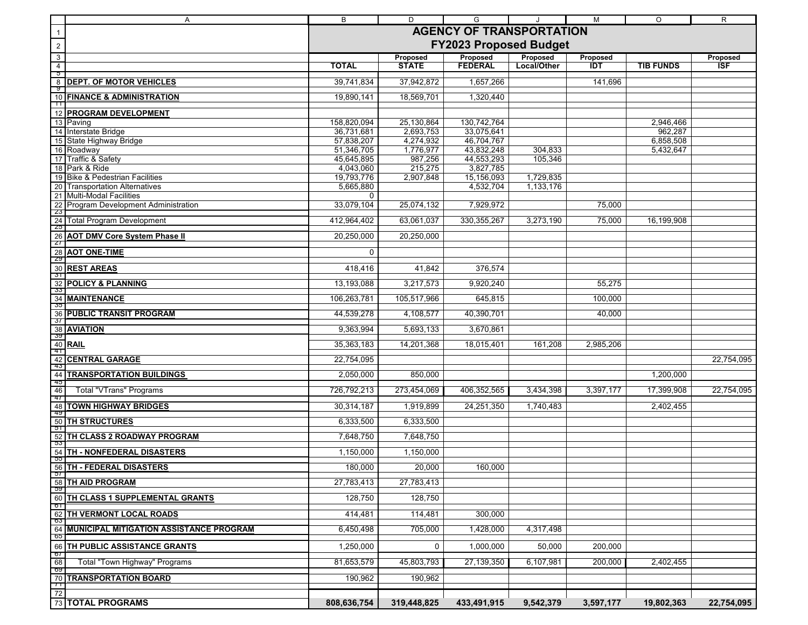|                          | Α                                                                                                                                                                                                                                                                                                                          | B                               | D                  | G                       |             | $\overline{M}$ | $\circ$          | $\mathsf{R}$ |  |
|--------------------------|----------------------------------------------------------------------------------------------------------------------------------------------------------------------------------------------------------------------------------------------------------------------------------------------------------------------------|---------------------------------|--------------------|-------------------------|-------------|----------------|------------------|--------------|--|
| $\overline{1}$           |                                                                                                                                                                                                                                                                                                                            | <b>AGENCY OF TRANSPORTATION</b> |                    |                         |             |                |                  |              |  |
| $\overline{c}$           |                                                                                                                                                                                                                                                                                                                            | <b>FY2023 Proposed Budget</b>   |                    |                         |             |                |                  |              |  |
| $\overline{3}$           |                                                                                                                                                                                                                                                                                                                            |                                 | Proposed           | Proposed                | Proposed    | Proposed       |                  | Proposed     |  |
| $\overline{4}$<br>p<br>P |                                                                                                                                                                                                                                                                                                                            | <b>TOTAL</b>                    | <b>STATE</b>       | <b>FEDERAL</b>          | Local/Other | IDT            | <b>TIB FUNDS</b> | ISF          |  |
| 8                        | <b>DEPT. OF MOTOR VEHICLES</b>                                                                                                                                                                                                                                                                                             | 39,741,834                      | 37,942,872         | 1,657,266               |             | 141,696        |                  |              |  |
| <u>पु</u><br>10          | <b>FINANCE &amp; ADMINISTRATION</b>                                                                                                                                                                                                                                                                                        | 19,890,141                      | 18,569,701         | 1,320,440               |             |                |                  |              |  |
| $\mathbb{H}$             |                                                                                                                                                                                                                                                                                                                            |                                 |                    |                         |             |                |                  |              |  |
| 12                       | <b>PROGRAM DEVELOPMENT</b>                                                                                                                                                                                                                                                                                                 | 158,820,094                     | 25,130,864         | 130,742,764             |             |                | 2,946,466        |              |  |
|                          | 13 Paving<br>Interstate Bridge                                                                                                                                                                                                                                                                                             | 36,731,681                      | 2,693,753          | 33,075,641              |             |                | 962,287          |              |  |
|                          | 15 State Highway Bridge                                                                                                                                                                                                                                                                                                    | 57,838,207                      | 4,274,932          | 46,704,767              |             |                | 6,858,508        |              |  |
|                          | 16 Roadway<br>17 Traffic & Safety                                                                                                                                                                                                                                                                                          | 51,346,705                      | 1,776,977          | 43,832,248              | 304,833     |                | 5,432,647        |              |  |
|                          | 18 Park & Ride                                                                                                                                                                                                                                                                                                             | 45,645,895<br>4,043,060         | 987,256<br>215,275 | 44,553,293<br>3,827,785 | 105,346     |                |                  |              |  |
|                          | 19 Bike & Pedestrian Facilities                                                                                                                                                                                                                                                                                            | 19,793,776                      | 2,907,848          | 15,156,093              | 1,729,835   |                |                  |              |  |
|                          | 20 Transportation Alternatives                                                                                                                                                                                                                                                                                             | 5,665,880                       |                    | 4,532,704               | 1,133,176   |                |                  |              |  |
|                          | <b>Program Development Administration</b>                                                                                                                                                                                                                                                                                  | 0<br>33,079,104                 | 25,074,132         | 7,929,972               |             | 75,000         |                  |              |  |
|                          |                                                                                                                                                                                                                                                                                                                            |                                 |                    |                         |             |                |                  |              |  |
|                          |                                                                                                                                                                                                                                                                                                                            | 412,964,402                     | 63,061,037         | 330, 355, 267           | 3,273,190   | 75,000         | 16,199,908       |              |  |
|                          | <b>AOT DMV Core System Phase II</b>                                                                                                                                                                                                                                                                                        | 20,250,000                      | 20,250,000         |                         |             |                |                  |              |  |
|                          |                                                                                                                                                                                                                                                                                                                            | 0                               |                    |                         |             |                |                  |              |  |
|                          |                                                                                                                                                                                                                                                                                                                            |                                 |                    |                         |             |                |                  |              |  |
|                          |                                                                                                                                                                                                                                                                                                                            | 418,416                         | 41,842             | 376,574                 |             |                |                  |              |  |
|                          |                                                                                                                                                                                                                                                                                                                            | 13,193,088                      | 3,217,573          | 9,920,240               |             | 55,275         |                  |              |  |
|                          |                                                                                                                                                                                                                                                                                                                            | 106,263,781                     | 105,517,966        | 645,815                 |             | 100,000        |                  |              |  |
|                          | <b>PUBLIC TRANSIT PROGRAM</b>                                                                                                                                                                                                                                                                                              | 44,539,278                      | 4,108,577          | 40,390,701              |             | 40,000         |                  |              |  |
|                          |                                                                                                                                                                                                                                                                                                                            | 9,363,994                       | 5,693,133          | 3,670,861               |             |                |                  |              |  |
|                          |                                                                                                                                                                                                                                                                                                                            | 35,363,183                      | 14,201,368         | 18,015,401              | 161,208     | 2,985,206      |                  |              |  |
|                          |                                                                                                                                                                                                                                                                                                                            |                                 |                    |                         |             |                |                  |              |  |
|                          |                                                                                                                                                                                                                                                                                                                            | 22,754,095                      |                    |                         |             |                |                  | 22,754,095   |  |
|                          | <b>TRANSPORTATION BUILDINGS</b>                                                                                                                                                                                                                                                                                            | 2,050,000                       | 850,000            |                         |             |                | 1,200,000        |              |  |
|                          |                                                                                                                                                                                                                                                                                                                            | 726,792,213                     | 273,454,069        | 406,352,565             | 3,434,398   | 3,397,177      | 17,399,908       | 22,754,095   |  |
|                          |                                                                                                                                                                                                                                                                                                                            | 30,314,187                      | 1,919,899          | 24,251,350              | 1,740,483   |                | 2,402,455        |              |  |
|                          |                                                                                                                                                                                                                                                                                                                            | 6,333,500                       | 6,333,500          |                         |             |                |                  |              |  |
|                          | 19 Bike & Pedestrian Facilities<br>20 Transportation Alternatives<br>21 Multi-Modal Facilities<br>22 Program Development Admini<br>22 Total Program Development<br>23<br>24 Total Program Development<br>29<br>26 <b>AOT DMV Core System Phas</b><br><br>TH CLASS 2 ROADWAY PROGRAM                                        | 7,648,750                       | 7,648,750          |                         |             |                |                  |              |  |
|                          | TH - NONFEDERAL DISASTERS                                                                                                                                                                                                                                                                                                  | 1,150,000                       | 1,150,000          |                         |             |                |                  |              |  |
|                          |                                                                                                                                                                                                                                                                                                                            | 180,000                         | 20,000             | 160,000                 |             |                |                  |              |  |
|                          |                                                                                                                                                                                                                                                                                                                            | 27,783,413                      | 27,783,413         |                         |             |                |                  |              |  |
|                          | <b>TH CLASS 1 SUPPLEMENTAL GRANTS</b>                                                                                                                                                                                                                                                                                      | 128,750                         | 128,750            |                         |             |                |                  |              |  |
|                          |                                                                                                                                                                                                                                                                                                                            |                                 |                    |                         |             |                |                  |              |  |
|                          | TH VERMONT LOCAL ROADS                                                                                                                                                                                                                                                                                                     | 414,481                         | 114,481            | 300.000                 |             |                |                  |              |  |
|                          | <b>MUNICIPAL MITIGATION ASSISTANCE PROGRAM</b>                                                                                                                                                                                                                                                                             | 6,450,498                       | 705,000            | 1,428,000               | 4,317,498   |                |                  |              |  |
|                          | <b>56 TH - FEDERAL DISASTERS</b><br><b>57</b><br><b>58</b> TH AID PROGRAM<br><b>60 TH CLASS 1 SUPPLEMENTA</b><br><b>61</b><br><b>62 TH VERMONT LOCAL ROAD:</b><br><b>64</b> MUNICIPAL MITIGATION ASS<br><b>66 TH PUBLIC ASSISTANCE GR<br/> <b>67</b> TOTAL PROGRAMS<br/> TOTAL PROGRAMS</b><br>TH PUBLIC ASSISTANCE GRANTS | 1,250,000                       | 0                  | 1,000,000               | 50,000      | 200,000        |                  |              |  |
|                          | Total "Town Highway" Programs                                                                                                                                                                                                                                                                                              | 81,653,579                      | 45,803,793         | 27,139,350              | 6,107,981   | 200,000        | 2,402,455        |              |  |
|                          |                                                                                                                                                                                                                                                                                                                            | 190,962                         | 190,962            |                         |             |                |                  |              |  |
|                          |                                                                                                                                                                                                                                                                                                                            |                                 |                    |                         |             |                |                  |              |  |
|                          |                                                                                                                                                                                                                                                                                                                            | 808,636,754                     | 319,448,825        | 433,491,915             | 9,542,379   | 3,597,177      | 19,802,363       | 22,754,095   |  |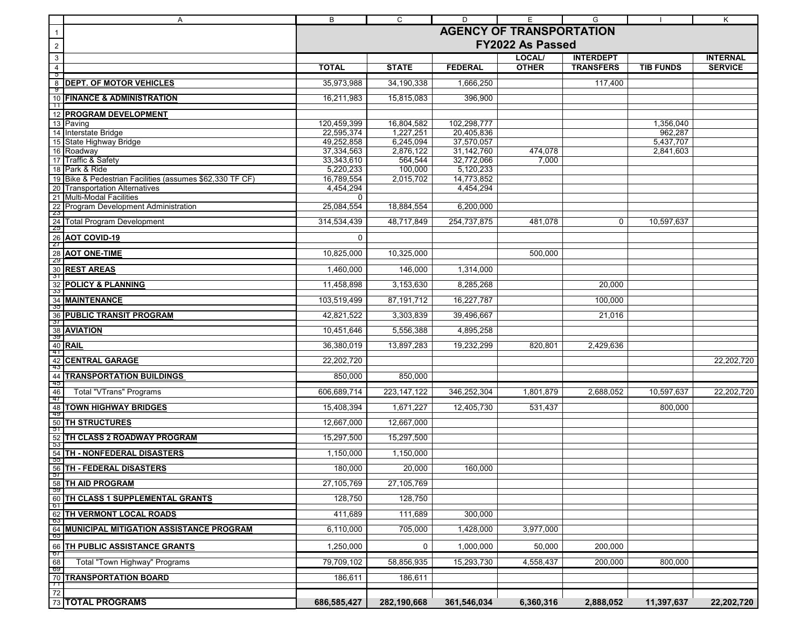|                    | Α                                                        | В                               | C                    | D                        | E                | G                |                  | Κ               |  |
|--------------------|----------------------------------------------------------|---------------------------------|----------------------|--------------------------|------------------|------------------|------------------|-----------------|--|
| $\overline{1}$     |                                                          | <b>AGENCY OF TRANSPORTATION</b> |                      |                          |                  |                  |                  |                 |  |
| $\sqrt{2}$         |                                                          | FY2022 As Passed                |                      |                          |                  |                  |                  |                 |  |
| $\mathbf{3}$       |                                                          |                                 |                      |                          | LOCAL/           | <b>INTERDEPT</b> |                  | <b>INTERNAL</b> |  |
| $\overline{4}$     |                                                          | <b>TOTAL</b>                    | <b>STATE</b>         | <b>FEDERAL</b>           | <b>OTHER</b>     | <b>TRANSFERS</b> | <b>TIB FUNDS</b> | <b>SERVICE</b>  |  |
| უ<br>$\infty$      | <b>DEPT. OF MOTOR VEHICLES</b>                           | 35,973,988                      | 34,190,338           | 1,666,250                |                  | 117,400          |                  |                 |  |
| ্ড                 | 10 FINANCE & ADMINISTRATION                              | 16,211,983                      | 15,815,083           | 396,900                  |                  |                  |                  |                 |  |
| ╥<br>$12$          | <b>PROGRAM DEVELOPMENT</b>                               |                                 |                      |                          |                  |                  |                  |                 |  |
| 13                 | Paving                                                   | 120,459,399                     | 16,804,582           | 102,298,777              |                  |                  | 1,356,040        |                 |  |
| 14                 | Interstate Bridge                                        | 22,595,374                      | 1,227,251            | 20,405,836               |                  |                  | 962,287          |                 |  |
| 15                 | State Highway Bridge                                     | 49,252,858                      | 6,245,094            | 37,570,057               |                  |                  | 5,437,707        |                 |  |
|                    | 16 Roadway<br>17 Traffic & Safety                        | 37,334,563<br>33,343,610        | 2,876,122<br>564,544 | 31,142,760<br>32,772,066 | 474,078<br>7,000 |                  | 2,841,603        |                 |  |
|                    | 18 Park & Ride                                           | 5,220,233                       | 100,000              | 5,120,233                |                  |                  |                  |                 |  |
|                    | 19 Bike & Pedestrian Facilities (assumes \$62,330 TF CF) | 16,789,554                      | 2,015,702            | 14,773,852               |                  |                  |                  |                 |  |
|                    | 20 Transportation Alternatives                           | 4,454,294                       |                      | 4,454,294                |                  |                  |                  |                 |  |
| 21                 | <b>Multi-Modal Facilities</b>                            | 0                               |                      |                          |                  |                  |                  |                 |  |
| $\frac{22}{23}$    | Program Development Administration                       | 25,084,554                      | 18,884,554           | 6,200,000                |                  |                  |                  |                 |  |
| $\frac{24}{25}$    | <b>Total Program Development</b>                         | 314,534,439                     | 48,717,849           | 254,737,875              | 481,078          | 0                | 10,597,637       |                 |  |
| $\frac{26}{27}$    | <b>AOT COVID-19</b>                                      | 0                               |                      |                          |                  |                  |                  |                 |  |
| $\frac{28}{29}$    | <b>AOT ONE-TIME</b>                                      | 10,825,000                      | 10,325,000           |                          | 500,000          |                  |                  |                 |  |
|                    | 30 REST AREAS                                            | 1,460,000                       | 146,000              | 1,314,000                |                  |                  |                  |                 |  |
| $\frac{32}{33}$    | <b>POLICY &amp; PLANNING</b>                             | 11,458,898                      | 3,153,630            | 8,285,268                |                  | 20,000           |                  |                 |  |
|                    | 34 MAINTENANCE                                           | 103,519,499                     | 87,191,712           | 16,227,787               |                  | 100,000          |                  |                 |  |
| $\frac{36}{37}$    | <b>PUBLIC TRANSIT PROGRAM</b>                            | 42,821,522                      | 3,303,839            | 39,496,667               |                  | 21,016           |                  |                 |  |
|                    |                                                          | 10,451,646                      | 5,556,388            | 4,895,258                |                  |                  |                  |                 |  |
|                    | 38 <b>AVIATION</b>                                       | 36,380,019                      | 13,897,283           | 19,232,299               | 820,801          | 2,429,636        |                  |                 |  |
|                    | $40$ RAIL                                                |                                 |                      |                          |                  |                  |                  |                 |  |
| $\frac{42}{43}$    | <b>CENTRAL GARAGE</b>                                    | 22,202,720                      |                      |                          |                  |                  |                  | 22,202,720      |  |
| $\frac{44}{45}$    | <b>TRANSPORTATION BUILDINGS</b>                          | 850,000                         | 850,000              |                          |                  |                  |                  |                 |  |
| $\frac{46}{47}$    | <b>Total "VTrans" Programs</b>                           | 606,689,714                     | 223, 147, 122        | 346,252,304              | 1,801,879        | 2,688,052        | 10,597,637       | 22,202,720      |  |
| 48<br>-49          | <b>TOWN HIGHWAY BRIDGES</b>                              | 15,408,394                      | 1,671,227            | 12,405,730               | 531,437          |                  | 800,000          |                 |  |
| $\frac{50}{51}$    | <b>TH STRUCTURES</b>                                     | 12,667,000                      | 12,667,000           |                          |                  |                  |                  |                 |  |
| $\frac{52}{53}$    | TH CLASS 2 ROADWAY PROGRAM                               | 15,297,500                      | 15,297,500           |                          |                  |                  |                  |                 |  |
|                    | <b>54 TH - NONFEDERAL DISASTERS</b>                      | 1,150,000                       | 1,150,000            |                          |                  |                  |                  |                 |  |
| $5^{\prime}$       | 56 TH - FEDERAL DISASTERS                                | 180,000                         | 20,000               | 160,000                  |                  |                  |                  |                 |  |
|                    | 58 TH AID PROGRAM                                        | 27,105,769                      | 27,105,769           |                          |                  |                  |                  |                 |  |
| 60<br><b>0</b> T   | TH CLASS 1 SUPPLEMENTAL GRANTS                           | 128,750                         | 128,750              |                          |                  |                  |                  |                 |  |
| 62<br>ხა           | TH VERMONT LOCAL ROADS                                   | 411,689                         | 111,689              | 300,000                  |                  |                  |                  |                 |  |
|                    | 64 MUNICIPAL MITIGATION ASSISTANCE PROGRAM<br>050        | 6,110,000                       | 705,000              | 1,428,000                | 3,977,000        |                  |                  |                 |  |
| 66                 | TH PUBLIC ASSISTANCE GRANTS                              | 1,250,000                       | 0                    | 1,000,000                | 50,000           | 200,000          |                  |                 |  |
| - 07<br>68         | Total "Town Highway" Programs                            | 79,709,102                      | 58,856,935           | 15,293,730               | 4,558,437        | 200,000          | 800,000          |                 |  |
| ೦೩<br>70           | <b>TRANSPORTATION BOARD</b>                              | 186,611                         | 186,611              |                          |                  |                  |                  |                 |  |
| $\mathbf{r}$<br>72 |                                                          |                                 |                      |                          |                  |                  |                  |                 |  |
|                    | 73 TOTAL PROGRAMS                                        | 686,585,427                     | 282,190,668          | 361,546,034              | 6,360,316        | 2,888,052        | 11,397,637       | 22.202.720      |  |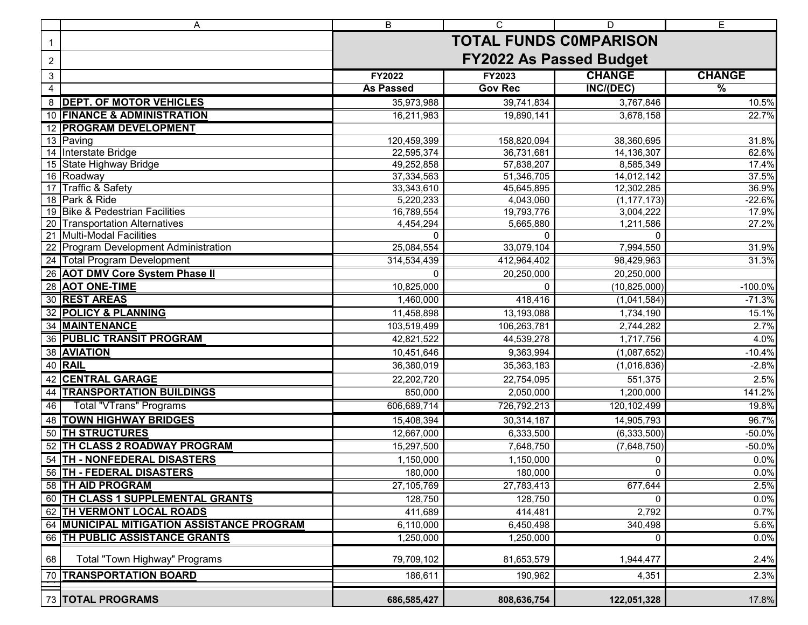|                | Α                                                 | $\overline{\mathsf{B}}$        | $\mathsf{C}$            | D                    | $\overline{E}$ |  |  |  |
|----------------|---------------------------------------------------|--------------------------------|-------------------------|----------------------|----------------|--|--|--|
| $\mathbf{1}$   |                                                   | <b>TOTAL FUNDS COMPARISON</b>  |                         |                      |                |  |  |  |
| $\overline{c}$ |                                                   | <b>FY2022 As Passed Budget</b> |                         |                      |                |  |  |  |
| $\mathfrak{S}$ |                                                   | FY2022                         | FY2023                  | <b>CHANGE</b>        | <b>CHANGE</b>  |  |  |  |
| 4              |                                                   | <b>As Passed</b>               | <b>Gov Rec</b>          | INC/(DEC)            | $\frac{9}{6}$  |  |  |  |
|                | 8 DEPT. OF MOTOR VEHICLES                         | 35,973,988                     | 39,741,834              | 3,767,846            | 10.5%          |  |  |  |
|                | 10 FINANCE & ADMINISTRATION                       | 16,211,983                     | 19,890,141              | 3,678,158            | 22.7%          |  |  |  |
|                | 12 PROGRAM DEVELOPMENT                            |                                |                         |                      |                |  |  |  |
|                | 13 Paving                                         | 120,459,399                    | 158,820,094             | 38,360,695           | 31.8%          |  |  |  |
|                | 14 Interstate Bridge                              | 22,595,374                     | 36,731,681              | 14,136,307           | 62.6%          |  |  |  |
|                | 15 State Highway Bridge                           | 49,252,858                     | 57,838,207              | 8,585,349            | 17.4%          |  |  |  |
|                | 16 Roadway                                        | 37,334,563                     | 51,346,705              | 14,012,142           | 37.5%          |  |  |  |
|                | 17 Traffic & Safety                               | 33,343,610                     | 45,645,895              | 12,302,285           | 36.9%          |  |  |  |
|                | 18 Park & Ride<br>19 Bike & Pedestrian Facilities | 5,220,233                      | 4,043,060               | (1, 177, 173)        | $-22.6%$       |  |  |  |
|                | 20 Transportation Alternatives                    | 16,789,554                     | 19,793,776              | 3,004,222            | 17.9%<br>27.2% |  |  |  |
|                | 21 Multi-Modal Facilities                         | 4,454,294                      | 5,665,880<br>0          | 1,211,586            |                |  |  |  |
|                | 22 Program Development Administration             | 25,084,554                     | 33,079,104              | 7,994,550            | 31.9%          |  |  |  |
|                | 24 Total Program Development                      | 314,534,439                    | 412,964,402             | 98,429,963           | 31.3%          |  |  |  |
|                | 26 AOT DMV Core System Phase II                   |                                | 20,250,000              | 20,250,000           |                |  |  |  |
|                | 28 AOT ONE-TIME                                   | 10,825,000                     |                         | (10, 825, 000)       | $-100.0%$      |  |  |  |
|                | 30 REST AREAS                                     | 1,460,000                      | 418,416                 | (1,041,584)          | $-71.3%$       |  |  |  |
|                | <b>32 POLICY &amp; PLANNING</b>                   | 11,458,898                     | 13,193,088              | 1,734,190            | 15.1%          |  |  |  |
|                | <b>34 MAINTENANCE</b>                             | 103,519,499                    | 106,263,781             | 2,744,282            | 2.7%           |  |  |  |
|                | <b>36 PUBLIC TRANSIT PROGRAM</b>                  | 42,821,522                     | 44,539,278              | 1,717,756            | 4.0%           |  |  |  |
|                | 38 AVIATION                                       | 10,451,646                     | 9,363,994               | (1,087,652)          | $-10.4%$       |  |  |  |
|                | 40 RAIL                                           | 36,380,019                     | 35,363,183              | (1,016,836)          | $-2.8%$        |  |  |  |
|                | 42 CENTRAL GARAGE                                 |                                |                         |                      | 2.5%           |  |  |  |
|                | <b>44 TRANSPORTATION BUILDINGS</b>                | 22,202,720                     | 22,754,095<br>2,050,000 | 551,375<br>1,200,000 | 141.2%         |  |  |  |
|                |                                                   | 850,000                        |                         |                      |                |  |  |  |
| 46             | <b>Total "VTrans" Programs</b>                    | 606,689,714                    | 726,792,213             | 120,102,499          | 19.8%          |  |  |  |
|                | <b>48 TOWN HIGHWAY BRIDGES</b>                    | 15,408,394                     | 30,314,187              | 14,905,793           | 96.7%          |  |  |  |
|                | <b>50 TH STRUCTURES</b>                           | 12,667,000                     | 6,333,500               | (6, 333, 500)        | $-50.0%$       |  |  |  |
|                | 52 TH CLASS 2 ROADWAY PROGRAM                     | 15,297,500                     | 7,648,750               | (7,648,750)          | $-50.0%$       |  |  |  |
|                | 54 TH - NONFEDERAL DISASTERS                      | 1,150,000                      | 1,150,000               | 0                    | 0.0%           |  |  |  |
|                | 56 TH - FEDERAL DISASTERS                         | 180,000                        | 180,000                 | 0                    | 0.0%           |  |  |  |
|                | 58 TH AID PROGRAM                                 | 27,105,769                     | 27,783,413              | 677,644              | 2.5%           |  |  |  |
|                | 60 TH CLASS 1 SUPPLEMENTAL GRANTS                 | 128,750                        | 128,750                 |                      | 0.0%           |  |  |  |
|                | 62 TH VERMONT LOCAL ROADS                         | 411,689                        | 414,481                 | 2,792                | 0.7%           |  |  |  |
|                | 64 MUNICIPAL MITIGATION ASSISTANCE PROGRAM        | 6,110,000                      | 6,450,498               | 340,498              | 5.6%           |  |  |  |
|                | 66 TH PUBLIC ASSISTANCE GRANTS                    | 1,250,000                      | 1,250,000               | 0                    | 0.0%           |  |  |  |
| 68             | Total "Town Highway" Programs                     | 79,709,102                     | 81,653,579              | 1,944,477            | 2.4%           |  |  |  |
|                | 70 TRANSPORTATION BOARD                           | 186,611                        | 190,962                 | 4,351                | 2.3%           |  |  |  |
|                | 73 TOTAL PROGRAMS                                 | 686,585,427                    | 808,636,754             | 122,051,328          | 17.8%          |  |  |  |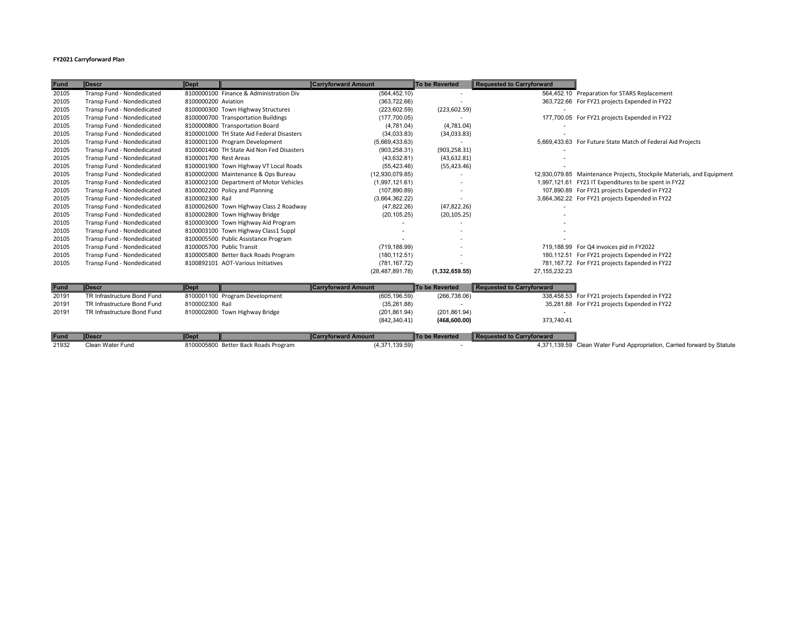## **FY2021 Carryforward Plan**

| <b>Fund</b> | <b>IDescr</b>               | <b>Dept</b>           |                                           | <b>Carryforward Amount</b> | <b>To be Reverted</b>    | <b>Requested to Carryforward</b> |                                                                        |
|-------------|-----------------------------|-----------------------|-------------------------------------------|----------------------------|--------------------------|----------------------------------|------------------------------------------------------------------------|
| 20105       | Transp Fund - Nondedicated  |                       | 8100000100 Finance & Administration Div   | (564, 452.10)              | $\overline{\phantom{a}}$ |                                  | 564,452.10 Preparation for STARS Replacement                           |
| 20105       | Transp Fund - Nondedicated  | 8100000200 Aviation   |                                           | (363, 722.66)              |                          |                                  | 363,722.66 For FY21 projects Expended in FY22                          |
| 20105       | Transp Fund - Nondedicated  |                       | 8100000300 Town Highway Structures        | (223, 602.59)              | (223, 602.59)            |                                  |                                                                        |
| 20105       | Transp Fund - Nondedicated  |                       | 8100000700 Transportation Buildings       | (177,700.05)               |                          |                                  | 177,700.05 For FY21 projects Expended in FY22                          |
| 20105       | Transp Fund - Nondedicated  |                       | 8100000800 Transportation Board           | (4,781.04)                 | (4,781.04)               |                                  |                                                                        |
| 20105       | Transp Fund - Nondedicated  |                       | 8100001000 TH State Aid Federal Disasters | (34,033.83)                | (34,033.83)              |                                  |                                                                        |
| 20105       | Transp Fund - Nondedicated  |                       | 8100001100 Program Development            | (5,669,433.63)             |                          |                                  | 5,669,433.63 For Future State Match of Federal Aid Projects            |
| 20105       | Transp Fund - Nondedicated  |                       | 8100001400 TH State Aid Non Fed Disasters | (903, 258.31)              | (903, 258.31)            |                                  |                                                                        |
| 20105       | Transp Fund - Nondedicated  | 8100001700 Rest Areas |                                           | (43, 632.81)               | (43, 632.81)             |                                  |                                                                        |
| 20105       | Transp Fund - Nondedicated  |                       | 8100001900 Town Highway VT Local Roads    | (55, 423.46)               | (55, 423.46)             |                                  |                                                                        |
| 20105       | Transp Fund - Nondedicated  |                       | 8100002000 Maintenance & Ops Bureau       | (12,930,079.85)            |                          |                                  | 12,930,079.85 Maintenance Projects, Stockpile Materials, and Equipment |
| 20105       | Transp Fund - Nondedicated  |                       | 8100002100 Department of Motor Vehicles   | (1,997,121.61)             |                          |                                  | 1,997,121.61 FY21 IT Expenditures to be spent in FY22                  |
| 20105       | Transp Fund - Nondedicated  |                       | 8100002200 Policy and Planning            | (107, 890.89)              |                          |                                  | 107,890.89 For FY21 projects Expended in FY22                          |
| 20105       | Transp Fund - Nondedicated  | 8100002300 Rail       |                                           | (3,664,362.22)             |                          |                                  | 3,664,362.22 For FY21 projects Expended in FY22                        |
| 20105       | Transp Fund - Nondedicated  |                       | 8100002600 Town Highway Class 2 Roadway   | (47, 822.26)               | (47, 822.26)             |                                  |                                                                        |
| 20105       | Transp Fund - Nondedicated  |                       | 8100002800 Town Highway Bridge            | (20, 105.25)               | (20, 105.25)             |                                  |                                                                        |
| 20105       | Transp Fund - Nondedicated  |                       | 8100003000 Town Highway Aid Program       |                            |                          |                                  |                                                                        |
| 20105       | Transp Fund - Nondedicated  |                       | 8100003100 Town Highway Class1 Suppl      |                            |                          |                                  |                                                                        |
| 20105       | Transp Fund - Nondedicated  |                       | 8100005500 Public Assistance Program      |                            |                          |                                  |                                                                        |
| 20105       | Transp Fund - Nondedicated  |                       | 8100005700 Public Transit                 | (719, 188.99)              |                          |                                  | 719,188.99 For Q4 invoices pid in FY2022                               |
| 20105       | Transp Fund - Nondedicated  |                       | 8100005800 Better Back Roads Program      | (180, 112.51)              |                          |                                  | 180,112.51 For FY21 projects Expended in FY22                          |
| 20105       | Transp Fund - Nondedicated  |                       | 8100892101 AOT-Various Initiatives        | (781, 167.72)              |                          |                                  | 781,167.72 For FY21 projects Expended in FY22                          |
|             |                             |                       |                                           | (28, 487, 891.78)          | (1,332,659.55)           | 27, 155, 232. 23                 |                                                                        |
|             |                             |                       |                                           |                            |                          |                                  |                                                                        |
| <b>Fund</b> | <b>Descr</b>                | <b>Dept</b>           |                                           | <b>Carryforward Amount</b> | <b>To be Reverted</b>    | <b>Requested to Carryforward</b> |                                                                        |
| 20191       | TR Infrastructure Bond Fund |                       | 8100001100 Program Development            | (605, 196.59)              | (266, 738.06)            |                                  | 338,458.53 For FY21 projects Expended in FY22                          |
| 20191       | TR Infrastructure Bond Fund | 8100002300 Rail       |                                           | (35, 281.88)               |                          |                                  | 35,281.88 For FY21 projects Expended in FY22                           |
| 20191       | TR Infrastructure Bond Fund |                       | 8100002800 Town Highway Bridge            | (201, 861.94)              | (201, 861.94)            |                                  |                                                                        |
|             |                             |                       |                                           | (842, 340.41)              | (468,600.00)             | 373,740.41                       |                                                                        |

| <b>Fund</b> | <b>I</b> IDesc   | <b>Dept</b>                          | <b>I</b> Carryforward Amount | <b>To be Reverted</b> | Requested to Carryforward |                                                                         |
|-------------|------------------|--------------------------------------|------------------------------|-----------------------|---------------------------|-------------------------------------------------------------------------|
| 21932       | Clean Water Fund | 8100005800 Better Back Roads Program | (4,371,139.59)               |                       |                           | 4,371,139.59 Clean Water Fund Appropriation, Carried forward by Statute |